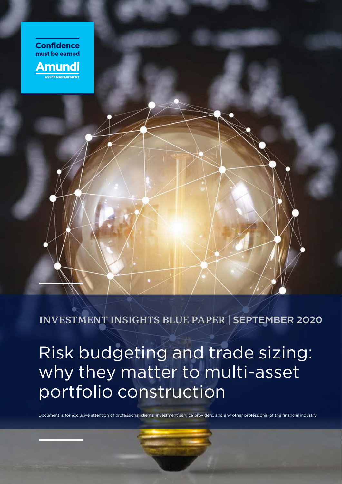

**INVESTMENT INSIGHTS BLUE PAPER** | SEPTEMBER 2020

Risk budgeting and trade sizing: why they matter to multi-asset portfolio construction

Document is for exclusive attention of professional clients, investment service providers, and any other professional of the financial industry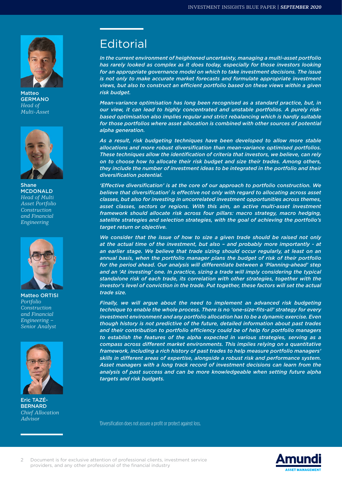

Matteo GERMANO *Head of Multi-Asset*



Shane **MCDONALD** *Head of Multi Asset Portfolio Construction and Financial Engineering*



Matteo ORTISI *Portfolio Construction and Financial Engineering – Senior Analyst*



Eric TAZÉ-**BERNARD** *Chief Allocation Advisor*

# **Editorial**

*In the current environment of heightened uncertainty, managing a multi-asset portfolio has rarely looked as complex as it does today, especially for those investors looking for an appropriate governance model on which to take investment decisions. The issue is not only to make accurate market forecasts and formulate appropriate investment views, but also to construct an efficient portfolio based on these views within a given risk budget.*

*Mean-variance optimisation has long been recognised as a standard practice, but, in our view, it can lead to highly concentrated and unstable portfolios. A purely riskbased optimisation also implies regular and strict rebalancing which is hardly suitable for those portfolios where asset allocation is combined with other sources of potential alpha generation.*

*As a result, risk budgeting techniques have been developed to allow more stable allocations and more robust diversification than mean-variance optimised portfolios. These techniques allow the identification of criteria that investors, we believe, can rely on to choose how to allocate their risk budget and size their trades. Among others, they include the number of investment ideas to be integrated in the portfolio and their diversification potential.*

*'Effective diversification' is at the core of our approach to portfolio construction. We believe that diversification1 is effective not only with regard to allocating across asset classes, but also for investing in uncorrelated investment opportunities across themes, asset classes, sectors or regions. With this aim, an active multi-asset investment framework should allocate risk across four pillars: macro strategy, macro hedging, satellite strategies and selection strategies, with the goal of achieving the portfolio's target return or objective.*

*We consider that the issue of how to size a given trade should be raised not only at the actual time of the investment, but also – and probably more importantly - at*  an earlier stage. We believe that trade sizing should occur regularly, at least on an *annual basis, when the portfolio manager plans the budget of risk of their portfolio*  for the period ahead. Our analysis will differentiate between a 'Planning-ahead' step and an 'At investing' one. In practice, sizing a trade will imply considering the typical *standalone risk of each trade, its correlation with other strategies, together with the*  investor's level of conviction in the trade. Put together, these factors will set the actual *trade size.*

*Finally, we will argue about the need to implement an advanced risk budgeting technique to enable the whole process. There is no 'one-size-fits-all' strategy for every investment environment and any portfolio allocation has to be a dynamic exercise. Even though history is not predictive of the future, detailed information about past trades and their contribution to portfolio efficiency could be of help for portfolio managers to establish the features of the alpha expected in various strategies, serving as a compass across different market environments. This implies relying on a quantitative framework, including a rich history of past trades to help measure portfolio managers' skills in different areas of expertise, alongside a robust risk and performance system. Asset managers with a long track record of investment decisions can learn from the analysis of past success and can be more knowledgeable when setting future alpha targets and risk budgets.*

1 Diversification does not assure a profit or protect against loss.

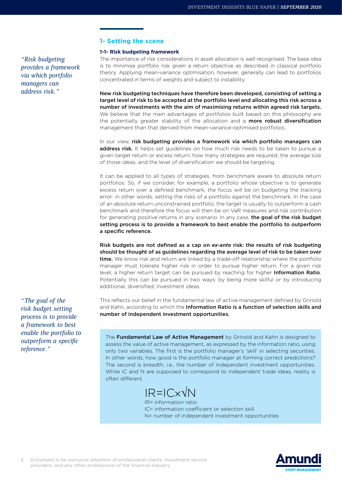*"Risk budgeting provides a framework via which portfolio managers can address risk."*

## **1- Setting the scene**

## **1-1- Risk budgeting framework**

The importance of risk considerations in asset allocation is well recognised. The base idea is to minimise portfolio risk given a return objective as described in classical portfolio theory. Applying mean-variance optimisation, however, generally can lead to portfolios concentrated in terms of weights and subject to instability.

New risk budgeting techniques have therefore been developed, consisting of setting a target level of risk to be accepted at the portfolio level and allocating this risk across a number of investments with the aim of maximising returns within agreed risk targets. We believe that the main advantages of portfolios built based on this philosophy are the potentially greater stability of the allocation and a **more robust diversification** management than that derived from mean-variance-optimised portfolios.

In our view, risk budgeting provides a framework via which portfolio managers can address risk. It helps set quidelines on how much risk needs to be taken to pursue a given target return or excess return, how many strategies are required, the average size of those ideas, and the level of diversification we should be targeting.

It can be applied to all types of strategies, from benchmark aware to absolute return portfolios. So, if we consider, for example, a portfolio whose objective is to generate excess return over a defined benchmark, the focus will be on budgeting the tracking error: in other words, setting the risks of a portfolio against the benchmark. In the case of an absolute return unconstrained portfolio, the target is usually to outperform a cash benchmark and therefore the focus will then be on VaR measures and risk contribution for generating positive returns in any scenario. In any case, the goal of the risk budget setting process is to provide a framework to best enable the portfolio to outperform a specific reference.

Risk budgets are not defined as a cap on *ex-ante* risk: the results of risk budgeting should be thought of as guidelines regarding the average level of risk to be taken over **time.** We know risk and return are linked by a trade-off relationship where the portfolio manager must tolerate higher risk in order to pursue higher return. For a given risk level, a higher return target can be pursued by reaching for higher Information Ratio. Potentially this can be pursued in two ways: by being more skilful or by introducing additional, diversified, investment ideas.

This reflects our belief in the fundamental law of active management defined by Grinold and Kahn, according to which the Information Ratio is a function of selection skills and number of independent investment opportunities.

The Fundamental Law of Active Management by Grinold and Kahn is designed to assess the value of active management, as expressed by the information ratio, using only two variables. The first is the portfolio manager's 'skill' in selecting securities. In other words, how good is the portfolio manager at forming correct predictions? The second is breadth, i.e., the number of independent investment opportunities. While IC and N are supposed to correspond to independent trade ideas, reality is often different.

$$
IR=IC \times \sqrt{N}
$$

IR= information ratio IC= information coefficient or selection skill N= number of independent investment opportunities

*"The goal of the risk budget setting process is to provide a framework to best enable the portfolio to outperform a specific reference."*

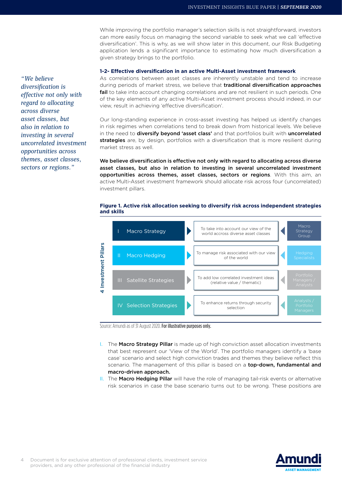While improving the portfolio manager's selection skills is not straightforward, investors can more easily focus on managing the second variable to seek what we call 'effective diversification'. This is why, as we will show later in this document, our Risk Budgeting application lends a significant importance to estimating how much diversification a given strategy brings to the portfolio.

## **1-2- Effective diversification in an active Multi-Asset investment framework**

As correlations between asset classes are inherently unstable and tend to increase during periods of market stress, we believe that traditional diversification approaches fail to take into account changing correlations and are not resilient in such periods. One of the key elements of any active Multi-Asset investment process should indeed, in our view, result in achieving 'effective diversification'.

Our long-standing experience in cross-asset investing has helped us identify changes in risk regimes when correlations tend to break down from historical levels. We believe in the need to diversify beyond 'asset class' and that portfolios built with uncorrelated strategies are, by design, portfolios with a diversification that is more resilient during market stress as well.

We believe diversification is effective not only with regard to allocating across diverse asset classes, but also in relation to investing in several uncorrelated investment opportunities across themes, asset classes, sectors or regions. With this aim, an active Multi-Asset investment framework should allocate risk across four (uncorrelated) investment pillars.

### **Figure 1. Active risk allocation seeking to diversify risk across independent strategies and skills**



Source: Amundi as of 31 August 2020. For illustrative purposes only.

- I. The Macro Strategy Pillar is made up of high conviction asset allocation investments that best represent our 'View of the World'. The portfolio managers identify a 'base case' scenario and select high conviction trades and themes they believe reflect this scenario. The management of this pillar is based on a top-down, fundamental and macro-driven approach.
- II. The Macro Hedging Pillar will have the role of managing tail-risk events or alternative risk scenarios in case the base scenario turns out to be wrong. These positions are



*"We believe diversification is effective not only with regard to allocating across diverse asset classes, but also in relation to investing in several uncorrelated investment opportunities across themes, asset classes, sectors or regions."*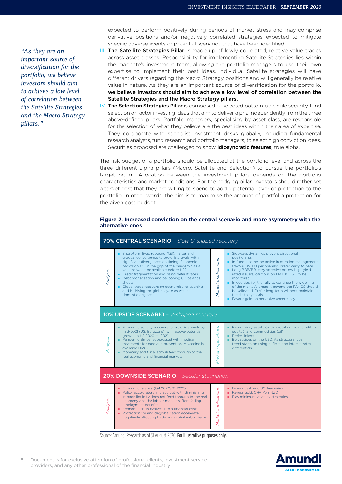*"As they are an important source of diversification for the portfolio, we believe investors should aim to achieve a low level of correlation between the Satellite Strategies and the Macro Strategy pillars."*

expected to perform positively during periods of market stress and may comprise derivative positions and/or negatively correlated strategies expected to mitigate specific adverse events or potential scenarios that have been identified.

- III. The Satellite Strategies Pillar is made up of lowly correlated, relative value trades across asset classes. Responsibility for implementing Satellite Strategies lies within the mandate's investment team, allowing the portfolio managers to use their own expertise to implement their best ideas. Individual Satellite strategies will have different drivers regarding the Macro Strategy positions and will generally be relative value in nature. As they are an important source of diversification for the portfolio, we believe investors should aim to achieve a low level of correlation between the Satellite Strategies and the Macro Strategy pillars.
- IV. The Selection Strategies Pillar is composed of selected bottom-up single security, fund selection or factor investing ideas that aim to deliver alpha independently from the three above-defined pillars. Portfolio managers, specialising by asset class, are responsible for the selection of what they believe are the best ideas within their area of expertise. They collaborate with specialist investment desks globally, including fundamental research analysts, fund research and portfolio managers, to select high conviction ideas. Securities proposed are challenged to show *idiosyncratic features*, true alpha.

The risk budget of a portfolio should be allocated at the portfolio level and across the three different alpha pillars (Macro, Satellite and Selection) to pursue the portfolio's target return. Allocation between the investment pillars depends on the portfolio characteristics and market conditions. For the hedging pillar, investors should rather set a target cost that they are willing to spend to add a potential layer of protection to the portfolio. In other words, the aim is to maximise the amount of portfolio protection for the given cost budget.

## **Figure 2. Increased conviction on the central scenario and more asymmetry with the alternative ones**



Source: Amundi Research as of 31 August 2020. For illustrative purposes only.

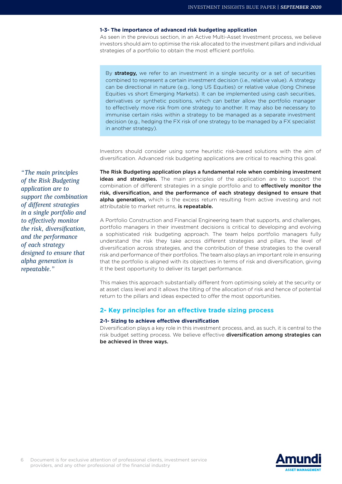#### **1-3- The importance of advanced risk budgeting application**

As seen in the previous section, in an Active Multi-Asset Investment process, we believe investors should aim to optimise the risk allocated to the investment pillars and individual strategies of a portfolio to obtain the most efficient portfolio.

By strategy, we refer to an investment in a single security or a set of securities combined to represent a certain investment decision (i.e., relative value). A strategy can be directional in nature (e.g., long US Equities) or relative value (long Chinese Equities vs short Emerging Markets). It can be implemented using cash securities, derivatives or synthetic positions, which can better allow the portfolio manager to effectively move risk from one strategy to another. It may also be necessary to immunise certain risks within a strategy to be managed as a separate investment decision (e.g., hedging the FX risk of one strategy to be managed by a FX specialist in another strategy).

Investors should consider using some heuristic risk-based solutions with the aim of diversification. Advanced risk budgeting applications are critical to reaching this goal.

The Risk Budgeting application plays a fundamental role when combining investment ideas and strategies. The main principles of the application are to support the combination of different strategies in a single portfolio and to effectively monitor the risk, diversification, and the performance of each strategy designed to ensure that alpha generation, which is the excess return resulting from active investing and not attributable to market returns, is repeatable.

A Portfolio Construction and Financial Engineering team that supports, and challenges, portfolio managers in their investment decisions is critical to developing and evolving a sophisticated risk budgeting approach. The team helps portfolio managers fully understand the risk they take across different strategies and pillars, the level of diversification across strategies, and the contribution of these strategies to the overall risk and performance of their portfolios. The team also plays an important role in ensuring that the portfolio is aligned with its objectives in terms of risk and diversification, giving it the best opportunity to deliver its target performance.

This makes this approach substantially different from optimising solely at the security or at asset class level and it allows the tilting of the allocation of risk and hence of potential return to the pillars and ideas expected to offer the most opportunities.

## **2- Key principles for an effective trade sizing process**

#### **2-1- Sizing to achieve effective diversification**

Diversification plays a key role in this investment process, and, as such, it is central to the risk budget setting process. We believe effective diversification among strategies can be achieved in three ways.

*"The main principles of the Risk Budgeting application are to support the combination of different strategies in a single portfolio and to effectively monitor the risk, diversification, and the performance of each strategy designed to ensure that alpha generation is repeatable."*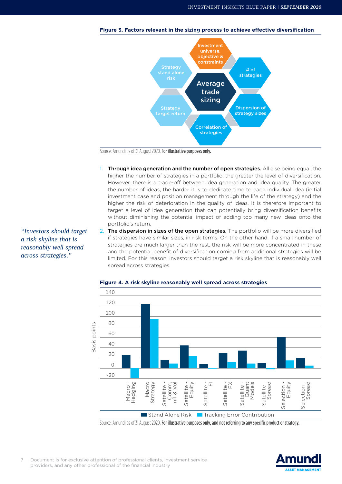

**Figure 3. Factors relevant in the sizing process to achieve effective diversification**

Source: Amundi as of 31 August 2020. For illustrative purposes only.

- 1. Through idea generation and the number of open strategies. All else being equal, the higher the number of strategies in a portfolio, the greater the level of diversification. However, there is a trade-off between idea generation and idea quality. The greater the number of ideas, the harder it is to dedicate time to each individual idea (initial investment case and position management through the life of the strategy) and the higher the risk of deterioration in the quality of ideas. It is therefore important to target a level of idea generation that can potentially bring diversification benefits without diminishing the potential impact of adding too many new ideas onto the portfolio's return.
- 2. The dispersion in sizes of the open strategies. The portfolio will be more diversified if strategies have similar sizes, in risk terms. On the other hand, if a small number of strategies are much larger than the rest, the risk will be more concentrated in these and the potential benefit of diversification coming from additional strategies will be limited. For this reason, investors should target a risk skyline that is reasonably well spread across strategies.



#### **Figure 4. A risk skyline reasonably well spread across strategies**

Source: Amundi as of 31 August 2020. For illustrative purposes only, and not referring to any specific product or strategy.



*"Investors should target a risk skyline that is reasonably well spread across strategies."*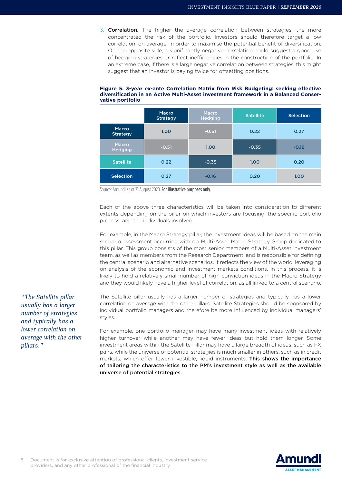3. Correlation. The higher the average correlation between strategies, the more concentrated the risk of the portfolio. Investors should therefore target a low correlation, on average, in order to maximise the potential benefit of diversification. On the opposite side, a significantly negative correlation could suggest a good use of hedging strategies or reflect inefficiencies in the construction of the portfolio. In an extreme case, if there is a large negative correlation between strategies, this might suggest that an investor is paying twice for offsetting positions.

|                          | Macro<br><b>Strategy</b> | Macro<br><b>Hedging</b> | <b>Satellite</b> | <b>Selection</b> |  |
|--------------------------|--------------------------|-------------------------|------------------|------------------|--|
| Macro<br><b>Strategy</b> | 1.00                     | $-0.51$                 | 0.22             | 0.27             |  |
| Macro<br><b>Hedging</b>  | $-0.51$                  | 1.00                    | $-0.35$          | $-0.16$          |  |
| <b>Satellite</b>         | 0.22                     | $-0.35$                 | 1.00             | 0.20             |  |
| <b>Selection</b>         | 0.27                     | $-0.16$                 | 0.20             | 1.00             |  |

#### **Figure 5. 3-year ex-ante Correlation Matrix from Risk Budgeting: seeking effective diversification in an Active Multi-Asset investment framework in a Balanced Conservative portfolio**

Source: Amundi as of 31 August 2020. For illustrative purposes only.

Each of the above three characteristics will be taken into consideration to different extents depending on the pillar on which investors are focusing, the specific portfolio process, and the individuals involved.

For example, in the Macro Strategy pillar, the investment ideas will be based on the main scenario assessment occurring within a Multi-Asset Macro Strategy Group dedicated to this pillar. This group consists of the most senior members of a Multi-Asset investment team, as well as members from the Research Department, and is responsible for defining the central scenario and alternative scenarios. It reflects the view of the world, leveraging on analysis of the economic and investment markets conditions. In this process, it is likely to hold a relatively small number of high conviction ideas in the Macro Strategy and they would likely have a higher level of correlation, as all linked to a central scenario.

The Satellite pillar usually has a larger number of strategies and typically has a lower correlation on average with the other pillars. Satellite Strategies should be sponsored by individual portfolio managers and therefore be more influenced by individual managers' styles.

For example, one portfolio manager may have many investment ideas with relatively higher turnover while another may have fewer ideas but hold them longer. Some investment areas within the Satellite Pillar may have a large breadth of ideas, such as FX pairs, while the universe of potential strategies is much smaller in others, such as in credit markets, which offer fewer investible, liquid instruments. This shows the importance of tailoring the characteristics to the PM's investment style as well as the available universe of potential strategies.



*"The Satellite pillar usually has a larger number of strategies and typically has a lower correlation on average with the other pillars."*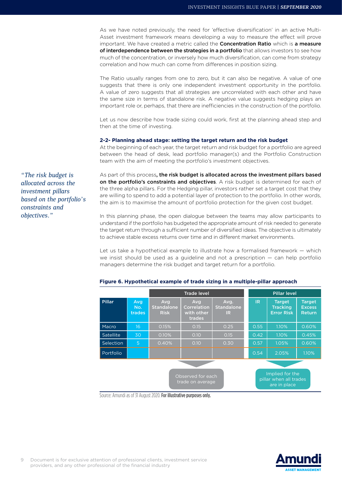As we have noted previously, the need for 'effective diversification' in an active Multi-Asset investment framework means developing a way to measure the effect will prove important. We have created a metric called the **Concentration Ratio** which is a measure of interdependence between the strategies in a portfolio that allows investors to see how much of the concentration, or inversely how much diversification, can come from strategy correlation and how much can come from differences in position sizing.

The Ratio usually ranges from one to zero, but it can also be negative. A value of one suggests that there is only one independent investment opportunity in the portfolio. A value of zero suggests that all strategies are uncorrelated with each other and have the same size in terms of standalone risk. A negative value suggests hedging plays an important role or, perhaps, that there are inefficiencies in the construction of the portfolio.

Let us now describe how trade sizing could work, first at the planning ahead step and then at the time of investing.

## **2-2- Planning ahead stage: setting the target return and the risk budget**

At the beginning of each year, the target return and risk budget for a portfolio are agreed between the head of desk, lead portfolio manager(s) and the Portfolio Construction team with the aim of meeting the portfolio's investment objectives.

As part of this process, the risk budget is allocated across the investment pillars based on the portfolio's constraints and objectives. A risk budget is determined for each of the three alpha pillars. For the Hedging pillar, investors rather set a target cost that they are willing to spend to add a potential layer of protection to the portfolio. In other words, the aim is to maximise the amount of portfolio protection for the given cost budget.

In this planning phase, the open dialogue between the teams may allow participants to understand if the portfolio has budgeted the appropriate amount of risk needed to generate the target return through a sufficient number of diversified ideas. The objective is ultimately to achieve stable excess returns over time and in different market environments.

Let us take a hypothetical example to illustrate how a formalised framework — which we insist should be used as a guideline and not a prescription — can help portfolio managers determine the risk budget and target return for a portfolio.

|                  |                      |                                         | <b>Trade level</b>                                |                                 |           | <b>Pillar level</b>                                       |                                          |  |
|------------------|----------------------|-----------------------------------------|---------------------------------------------------|---------------------------------|-----------|-----------------------------------------------------------|------------------------------------------|--|
| <b>Pillar</b>    | Avg<br>No.<br>trades | Avg<br><b>Standalone</b><br><b>Risk</b> | Avg<br><b>Correlation</b><br>with other<br>trades | Avg.<br><b>Standalone</b><br>IR | <b>IR</b> | <b>Target</b><br><b>Tracking</b><br><b>Error Risk</b>     | <b>Target</b><br><b>Excess</b><br>Return |  |
| Macro            | 16                   | 0.15%                                   | 0.15                                              | 0.25                            | 0.55      | 1.10%                                                     | 0.60%                                    |  |
| <b>Satellite</b> | 30                   | 0.10%                                   | 0.10                                              | 0.15                            | 0.42      | 1.10%                                                     | 0.45%                                    |  |
| <b>Selection</b> | 5                    | 0.40%                                   | 0.10                                              | 0.30                            | 0.57      | 1.05%                                                     | 0.60%                                    |  |
| Portfolio        |                      |                                         |                                                   |                                 | 0.54      | 2.05%                                                     | 1.10%                                    |  |
|                  |                      |                                         |                                                   |                                 |           |                                                           |                                          |  |
|                  |                      |                                         | Observed for each<br>trade on average             |                                 |           | Implied for the<br>pillar when all trades<br>are in place |                                          |  |

#### **Figure 6. Hypothetical example of trade sizing in a multiple-pillar approach**

Source: Amundi as of 31 August 2020. For illustrative purposes only.



*"The risk budget is allocated across the investment pillars based on the portfolio's constraints and objectives."*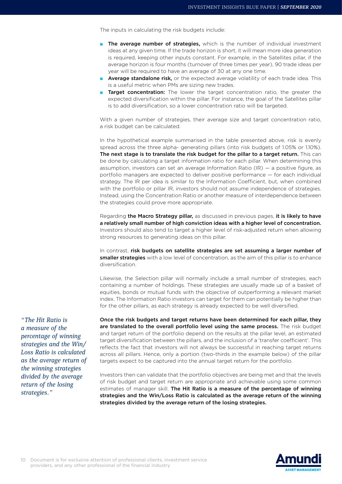The inputs in calculating the risk budgets include:

- The average number of strategies, which is the number of individual investment ideas at any given time. If the trade horizon is short, it will mean more idea generation is required, keeping other inputs constant. For example, in the Satellites pillar, if the average horizon is four months (turnover of three times per year), 90 trade ideas per year will be required to have an average of 30 at any one time.
- **Average standalone risk,** or the expected average volatility of each trade idea. This is a useful metric when PMs are sizing new trades.
- **Target concentration:** The lower the target concentration ratio, the greater the expected diversification within the pillar. For instance, the goal of the Satellites pillar is to add diversification, so a lower concentration ratio will be targeted.

With a given number of strategies, their average size and target concentration ratio, a risk budget can be calculated.

In the hypothetical example summarised in the table presented above, risk is evenly spread across the three alpha- generating pillars (into risk budgets of 1.05% or 1.10%). The next stage is to translate the risk budget for the pillar to a target return. This can be done by calculating a target information ratio for each pillar. When determining this assumption, investors can set an average Information Ratio  $(IR)$  – a positive figure, as portfolio managers are expected to deliver positive performance — for each individual strategy. The IR per idea is similar to the Information Coefficient, but, when combined with the portfolio or pillar IR, investors should not assume independence of strategies. Instead, using the Concentration Ratio or another measure of interdependence between the strategies could prove more appropriate.

Regarding the Macro Strategy pillar, as discussed in previous pages, it is likely to have a relatively small number of high conviction ideas with a higher level of concentration. Investors should also tend to target a higher level of risk-adjusted return when allowing strong resources to generating ideas on this pillar.

In contrast, risk budgets on satellite strategies are set assuming a larger number of smaller strategies with a low level of concentration, as the aim of this pillar is to enhance diversification.

Likewise, the Selection pillar will normally include a small number of strategies, each containing a number of holdings. These strategies are usually made up of a basket of equities, bonds or mutual funds with the objective of outperforming a relevant market index. The Information Ratio investors can target for them can potentially be higher than for the other pillars, as each strategy is already expected to be well diversified.

*"The Hit Ratio is a measure of the percentage of winning strategies and the Win/ Loss Ratio is calculated as the average return of the winning strategies divided by the average return of the losing strategies."*

Once the risk budgets and target returns have been determined for each pillar, they are translated to the overall portfolio level using the same process. The risk budget and target return of the portfolio depend on the results at the pillar level, an estimated target diversification between the pillars, and the inclusion of a 'transfer coefficient'. This reflects the fact that investors will not always be successful in reaching target returns across all pillars. Hence, only a portion (two-thirds in the example below) of the pillar targets expect to be captured into the annual target return for the portfolio.

Investors then can validate that the portfolio objectives are being met and that the levels of risk budget and target return are appropriate and achievable using some common estimates of manager skill. The Hit Ratio is a measure of the percentage of winning strategies and the Win/Loss Ratio is calculated as the average return of the winning strategies divided by the average return of the losing strategies.

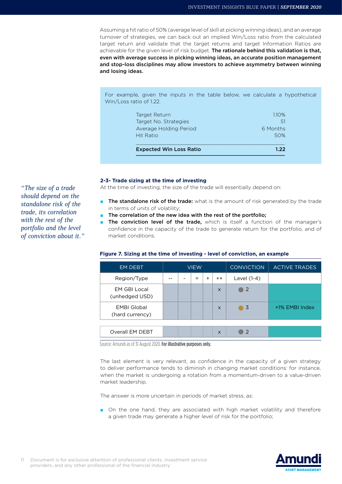Assuming a hit ratio of 50% (average level of skill at picking winning ideas), and an average turnover of strategies, we can back out an implied Win/Loss ratio from the calculated target return and validate that the target returns and target Information Ratios are achievable for the given level of risk budget. The rationale behind this validation is that, even with average success in picking winning ideas, an accurate position management and stop-loss disciplines may allow investors to achieve asymmetry between winning and losing ideas.

For example, given the inputs in the table below, we calculate a hypothetical Win/Loss ratio of 1.22.

| <b>Expected Win Loss Ratio</b> | 1.22     |
|--------------------------------|----------|
| Hit Ratio                      | 50%      |
| Average Holding Period         | 6 Months |
| Target No. Strategies          | -51      |
| Target Return                  | 110%     |

## **2-3- Trade sizing at the time of investing**

At the time of investing, the size of the trade will essentially depend on:

- The standalone risk of the trade: what is the amount of risk generated by the trade in terms of units of volatility;
- The correlation of the new idea with the rest of the portfolio;
- The conviction level of the trade, which is itself a function of the manager's confidence in the capacity of the trade to generate return for the portfolio, and of market conditions.

## **Figure 7. Sizing at the time of investing - level of conviction, an example**

| <b>EM DEBT</b>                        | <b>VIEW</b> |  |     |           | <b>CONVICTION</b> | <b>ACTIVE TRADES</b> |                |
|---------------------------------------|-------------|--|-----|-----------|-------------------|----------------------|----------------|
| Region/Type                           |             |  | $=$ | $\ddot{}$ | $^{++}$           | Level (1-4)          |                |
| <b>EM GBI Local</b><br>(unhedged USD) |             |  |     |           | $\times$          | 2                    |                |
| <b>EMBI Global</b><br>(hard currency) |             |  |     |           | $\times$          | 3<br>a a s           | +1% EMBI Index |
|                                       |             |  |     |           |                   |                      |                |
| Overall EM DEBT                       |             |  |     |           | $\times$          | $\mathcal{P}$        |                |

Source: Amundi as of 31 August 2020. For illustrative purposes only.

The last element is very relevant, as confidence in the capacity of a given strategy to deliver performance tends to diminish in changing market conditions: for instance, when the market is undergoing a rotation from a momentum-driven to a value-driven market leadership.

The answer is more uncertain in periods of market stress, as:

■ On the one hand, they are associated with high market volatility and therefore a given trade may generate a higher level of risk for the portfolio;

*"The size of a trade should depend on the standalone risk of the trade, its correlation with the rest of the portfolio and the level of conviction about it."*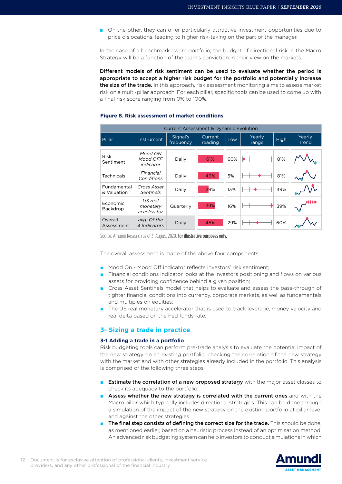■ On the other, they can offer particularly attractive investment opportunities due to price dislocations, leading to higher risk-taking on the part of the manager.

In the case of a benchmark aware portfolio, the budget of directional risk in the Macro Strategy will be a function of the team's conviction in their view on the markets.

Different models of risk sentiment can be used to evaluate whether the period is appropriate to accept a higher risk budget for the portfolio and potentially increase the size of the trade. In this approach, risk assessment monitoring aims to assess market risk on a multi-pillar approach. For each pillar, specific tools can be used to come up with a final risk score ranging from 0% to 100%.

|                            | <b>Current Assessment &amp; Dynamic Evolution</b> |                       |                    |     |                 |      |                        |  |
|----------------------------|---------------------------------------------------|-----------------------|--------------------|-----|-----------------|------|------------------------|--|
| Pillar                     | Instrument                                        | Signal's<br>frequency | Current<br>reading | Low | Yearly<br>range | High | Yearly<br><b>Trend</b> |  |
| <b>Risk</b><br>Sentiment   | Mood ON<br>Mood OFF<br>indicator                  | Daily                 | 61%                | 60% |                 | 81%  |                        |  |
| Technicals                 | Financial<br>Conditions                           | Daily                 | 49%                | 5%  |                 | 81%  |                        |  |
| Fundamental<br>& Valuation | Cross Asset<br><b>Sentinels</b>                   | Daily                 | 29%                | 13% |                 | 49%  |                        |  |
| Economic<br>Backdrop       | US real<br>monetary<br>accelerator                | Quarterly             | 39%                | 16% |                 | 39%  |                        |  |
| Overall<br>Assessment      | avg. Of the<br>4 Indicators                       | Daily                 | 45%                | 29% |                 | 60%  |                        |  |

#### **Figure 8. Risk assessment of market conditions**

Source: Amundi Research as of 31 August 2020. For illustrative purposes only.

The overall assessment is made of the above four components:

- Mood On Mood Off indicator reflects investors' risk sentiment;
- Financial conditions indicator looks at the investors positioning and flows on various assets for providing confidence behind a given position;
- Cross Asset Sentinels model that helps to evaluate and assess the pass-through of tighter financial conditions into currency, corporate markets, as well as fundamentals and multiples on equities;
- The US real monetary accelerator that is used to track leverage, money velocity and real delta based on the Fed funds rate.

## **3- Sizing a trade in practice**

## **3-1 Adding a trade in a portfolio**

Risk budgeting tools can perform pre-trade analysis to evaluate the potential impact of the new strategy on an existing portfolio, checking the correlation of the new strategy with the market and with other strategies already included in the portfolio. This analysis is comprised of the following three steps:

- **Extimate the correlation of a new proposed strategy** with the major asset classes to check its adequacy to the portfolio.
- Assess whether the new strategy is correlated with the current ones and with the Macro pillar which typically includes directional strategies. This can be done through a simulation of the impact of the new strategy on the existing portfolio at pillar level and against the other strategies.
- **The final step consists of defining the correct size for the trade.** This should be done, as mentioned earlier, based on a heuristic process instead of an optimisation method. An advanced risk budgeting system can help investors to conduct simulations in which

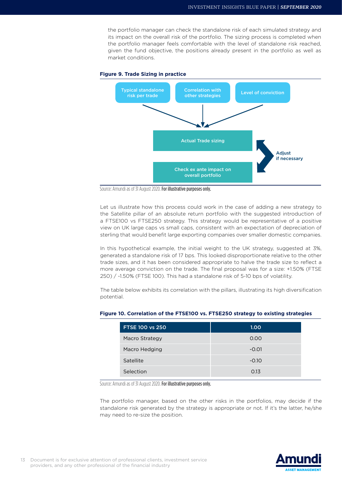the portfolio manager can check the standalone risk of each simulated strategy and its impact on the overall risk of the portfolio. The sizing process is completed when the portfolio manager feels comfortable with the level of standalone risk reached, given the fund objective, the positions already present in the portfolio as well as market conditions.



#### **Figure 9. Trade Sizing in practice**

Source: Amundi as of 31 August 2020. For illustrative purposes only.

Let us illustrate how this process could work in the case of adding a new strategy to the Satellite pillar of an absolute return portfolio with the suggested introduction of a FTSE100 vs FTSE250 strategy. This strategy would be representative of a positive view on UK large caps vs small caps, consistent with an expectation of depreciation of sterling that would benefit large exporting companies over smaller domestic companies.

In this hypothetical example, the initial weight to the UK strategy, suggested at 3%, generated a standalone risk of 17 bps. This looked disproportionate relative to the other trade sizes, and it has been considered appropriate to halve the trade size to reflect a more average conviction on the trade. The final proposal was for a size: +1.50% (FTSE 250) / -1.50% (FTSE 100). This had a standalone risk of 5-10 bps of volatility.

The table below exhibits its correlation with the pillars, illustrating its high diversification potential.

| <b>FTSE 100 vs 250</b> | 1.00    |
|------------------------|---------|
| Macro Strategy         | 0.00    |
| Macro Hedging          | $-0.01$ |
| Satellite              | $-0.10$ |
| Selection              | 0.13    |

## **Figure 10. Correlation of the FTSE100 vs. FTSE250 strategy to existing strategies**

Source: Amundi as of 31 August 2020. For illustrative purposes only.

The portfolio manager, based on the other risks in the portfolios, may decide if the standalone risk generated by the strategy is appropriate or not. If it's the latter, he/she may need to re-size the position.

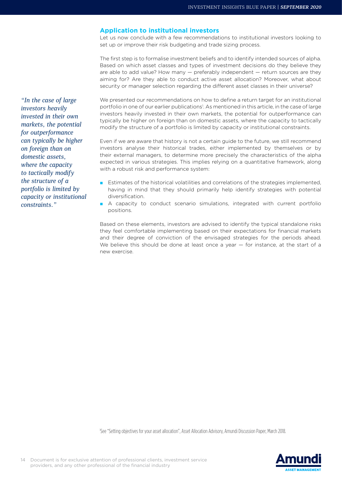## **Application to institutional investors**

Let us now conclude with a few recommendations to institutional investors looking to set up or improve their risk budgeting and trade sizing process.

The first step is to formalise investment beliefs and to identify intended sources of alpha. Based on which asset classes and types of investment decisions do they believe they are able to add value? How many — preferably independent — return sources are they aiming for? Are they able to conduct active asset allocation? Moreover, what about security or manager selection regarding the different asset classes in their universe?

We presented our recommendations on how to define a return target for an institutional portfolio in one of our earlier publications<sup>1</sup>. As mentioned in this article, in the case of large investors heavily invested in their own markets, the potential for outperformance can typically be higher on foreign than on domestic assets, where the capacity to tactically modify the structure of a portfolio is limited by capacity or institutional constraints.

Even if we are aware that history is not a certain guide to the future, we still recommend investors analyse their historical trades, either implemented by themselves or by their external managers, to determine more precisely the characteristics of the alpha expected in various strategies. This implies relying on a quantitative framework, along with a robust risk and performance system:

- Estimates of the historical volatilities and correlations of the strategies implemented, having in mind that they should primarily help identify strategies with potential diversification.
- A capacity to conduct scenario simulations, integrated with current portfolio positions.

Based on these elements, investors are advised to identify the typical standalone risks they feel comfortable implementing based on their expectations for financial markets and their degree of conviction of the envisaged strategies for the periods ahead. We believe this should be done at least once a year - for instance, at the start of a new exercise.

1 See "Setting objectives for your asset allocation", Asset Allocation Advisory, Amundi Discussion Paper, March 2018.

*"In the case of large investors heavily invested in their own markets, the potential for outperformance can typically be higher on foreign than on domestic assets, where the capacity to tactically modify the structure of a portfolio is limited by capacity or institutional constraints."*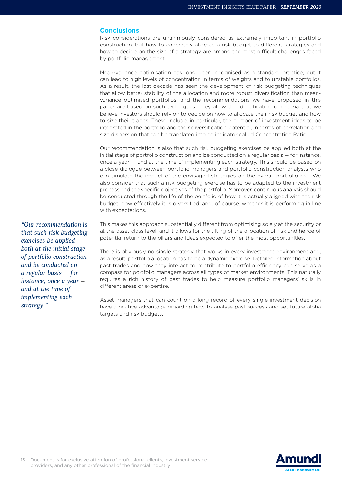## **Conclusions**

Risk considerations are unanimously considered as extremely important in portfolio construction, but how to concretely allocate a risk budget to different strategies and how to decide on the size of a strategy are among the most difficult challenges faced by portfolio management.

Mean-variance optimisation has long been recognised as a standard practice, but it can lead to high levels of concentration in terms of weights and to unstable portfolios. As a result, the last decade has seen the development of risk budgeting techniques that allow better stability of the allocation and more robust diversification than meanvariance optimised portfolios, and the recommendations we have proposed in this paper are based on such techniques. They allow the identification of criteria that we believe investors should rely on to decide on how to allocate their risk budget and how to size their trades. These include, in particular, the number of investment ideas to be integrated in the portfolio and their diversification potential, in terms of correlation and size dispersion that can be translated into an indicator called Concentration Ratio.

Our recommendation is also that such risk budgeting exercises be applied both at the initial stage of portfolio construction and be conducted on a regular basis — for instance, once a year — and at the time of implementing each strategy. This should be based on a close dialogue between portfolio managers and portfolio construction analysts who can simulate the impact of the envisaged strategies on the overall portfolio risk. We also consider that such a risk budgeting exercise has to be adapted to the investment process and the specific objectives of the portfolio. Moreover, continuous analysis should be conducted through the life of the portfolio of how it is actually aligned with the risk budget, how effectively it is diversified, and, of course, whether it is performing in line with expectations.

This makes this approach substantially different from optimising solely at the security or at the asset class level, and it allows for the tilting of the allocation of risk and hence of potential return to the pillars and ideas expected to offer the most opportunities.

There is obviously no single strategy that works in every investment environment and, as a result, portfolio allocation has to be a dynamic exercise. Detailed information about past trades and how they interact to contribute to portfolio efficiency can serve as a compass for portfolio managers across all types of market environments. This naturally requires a rich history of past trades to help measure portfolio managers' skills in different areas of expertise.

Asset managers that can count on a long record of every single investment decision have a relative advantage regarding how to analyse past success and set future alpha targets and risk budgets.

*"Our recommendation is that such risk budgeting exercises be applied both at the initial stage of portfolio construction and be conducted on a regular basis — for instance, once a year and at the time of implementing each strategy."*

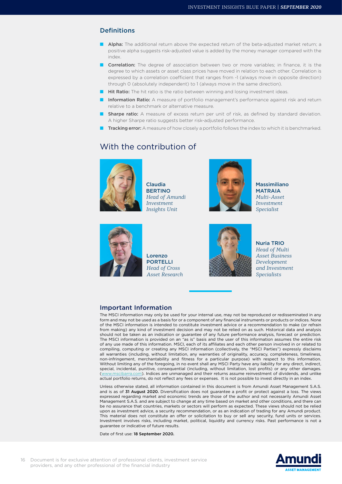## **Definitions**

- Alpha: The additional return above the expected return of the beta-adjusted market return; a positive alpha suggests risk-adjusted value is added by the money manager compared with the index.
- **Correlation:** The degree of association between two or more variables; in finance, it is the degree to which assets or asset class prices have moved in relation to each other. Correlation is expressed by a correlation coefficient that ranges from -1 (always move in opposite direction) through 0 (absolutely independent) to 1 (always move in the same direction).
- Hit Ratio: The hit ratio is the ratio between winning and losing investment ideas.
- **Information Ratio:** A measure of portfolio management's performance against risk and return relative to a benchmark or alternative measure.
- **Bharpe ratio:** A measure of excess return per unit of risk, as defined by standard deviation. A higher Sharpe ratio suggests better risk-adjusted performance.
- Tracking error: A measure of how closely a portfolio follows the index to which it is benchmarked.

## With the contribution of



Claudia **BERTINO** *Head of Amundi Investment Insights Unit*



Massimiliano MATRAIA *Multi-Asset Investment Specialist*



Lorenzo PORTELLI *Head of Cross Asset Research*



Nuria TRIO *Head of Multi Asset Business Development and Investment Specialists*

## Important Information

The MSCI information may only be used for your internal use, may not be reproduced or redisseminated in any form and may not be used as a basis for or a component of any financial instruments or products or indices. None of the MSCI information is intended to constitute investment advice or a recommendation to make (or refrain from making) any kind of investment decision and may not be relied on as such. Historical data and analysis should not be taken as an indication or guarantee of any future performance analysis, forecast or prediction. The MSCI information is provided on an "as is" basis and the user of this information assumes the entire risk of any use made of this information. MSCI, each of its affiliates and each other person involved in or related to compiling, computing or creating any MSCI information (collectively, the "MSCI Parties") expressly disclaims all warranties (including, without limitation, any warranties of originality, accuracy, completeness, timeliness, non-infringement, merchantability and fitness for a particular purpose) with respect to this information. Without limiting any of the foregoing, in no event shall any MSCI Party have any liability for any direct, indirect, special, incidental, punitive, consequential (including, without limitation, lost profits) or any other damages. ([www.mscibarra.com\)](http://www.mscibarra.com). Indices are unmanaged and their returns assume reinvestment of dividends, and unlike actual portfolio returns, do not reflect any fees or expenses. It is not possible to invest directly in an index.

Unless otherwise stated, all information contained in this document is from Amundi Asset Management S.A.S. and is as of 31 August 2020. Diversification does not guarantee a profit or protect against a loss. The views expressed regarding market and economic trends are those of the author and not necessarily Amundi Asset Management S.A.S. and are subject to change at any time based on market and other conditions, and there can be no assurance that countries, markets or sectors will perform as expected. These views should not be relied upon as investment advice, a security recommendation, or as an indication of trading for any Amundi product. This material does not constitute an offer or solicitation to buy or sell any security, fund units or services. Investment involves risks, including market, political, liquidity and currency risks. Past performance is not a guarantee or indicative of future results.

Date of first use: 18 September 2020.